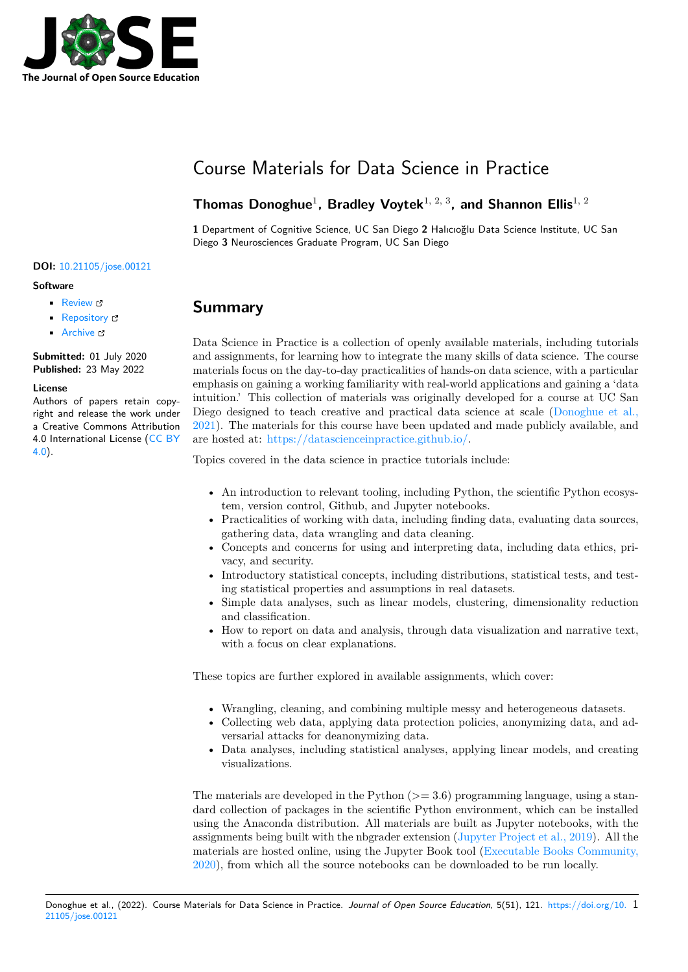

# Course Materials for Data Science in Practice

#### Thomas Donoghue<sup>1</sup>, Bradley Voytek<sup>1, 2, 3</sup>, and Shannon Ellis<sup>1, 2</sup>

**1** Department of Cognitive Science, UC San Diego **2** Halıcıoğlu Data Science Institute, UC San Diego **3** Neurosciences Graduate Program, UC San Diego

#### **DOI:** 10.21105/jose.00121

#### **Software**

- Review &
- [Repository](https://doi.org/10.21105/jose.00121)  $C$
- Archive

**Subm[itted:](https://github.com/openjournals/jose-reviews/issues/121)** 01 July 2020 **Published:** [23 M](https://github.com/DataScienceInPractice/Site)ay 2022

#### **Licen[se](https://doi.org/10.5281/zenodo.6568091)**

Authors of papers retain copyright and release the work under a Creative Commons Attribution 4.0 International License (CC BY 4.0).

### **Summary**

Data Science in Practice is a collection of openly available materials, including tutorials and assignments, for learning how to integrate the many skills of data science. The course materials focus on the day-to-day practicalities of hands-on data science, with a particular emphasis on gaining a working familiarity with real-world applications and gaining a 'data intuition.' This collection of materials was originally developed for a course at UC San Diego designed to teach creative and practical data science at scale (Donoghue et al., 2021). The materials for this course have been updated and made publicly available, and are hosted at: https://datascienceinpractice.github.io/.

Topics covered in the data science in practice tutorials include:

- [•](#page-2-0) An intro[duction to relevant tooling, including Pyt](https://datascienceinpractice.github.io/)hon, the scientific Python ecosystem, version control, Github, and Jupyter notebooks.
- Practicalities of working with data, including finding data, evaluating data sources, gathering data, data wrangling and data cleaning.
- Concepts and concerns for using and interpreting data, including data ethics, privacy, and security.
- Introductory statistical concepts, including distributions, statistical tests, and testing statistical properties and assumptions in real datasets.
- Simple data analyses, such as linear models, clustering, dimensionality reduction and classification.
- How to report on data and analysis, through data visualization and narrative text, with a focus on clear explanations.

These topics are further explored in available assignments, which cover:

- Wrangling, cleaning, and combining multiple messy and heterogeneous datasets.
- Collecting web data, applying data protection policies, anonymizing data, and adversarial attacks for deanonymizing data.
- Data analyses, including statistical analyses, applying linear models, and creating visualizations.

The materials are developed in the Python  $(>= 3.6)$  programming language, using a standard collection of packages in the scientific Python environment, which can be installed using the Anaconda distribution. All materials are built as Jupyter notebooks, with the assignments being built with the nbgrader extension (Jupyter Project et al., 2019). All the materials are hosted online, using the Jupyter Book tool (Executable Books Community, 2020), from which all the source notebooks can be downloaded to be run locally.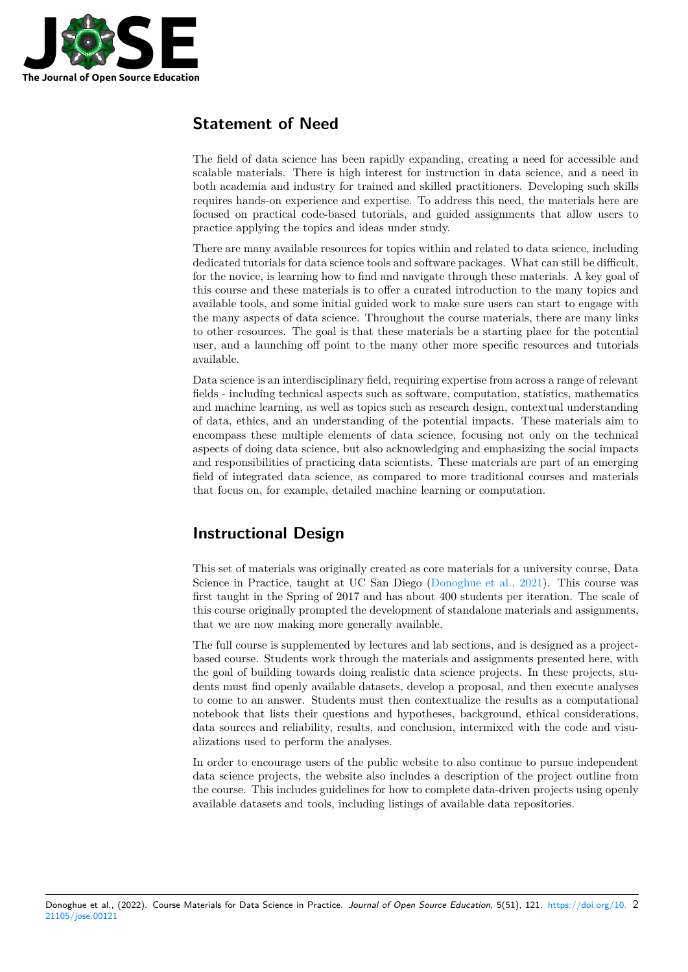

### **Statement of Need**

The field of data science has been rapidly expanding, creating a need for accessible and scalable materials. There is high interest for instruction in data science, and a need in both academia and industry for trained and skilled practitioners. Developing such skills requires hands-on experience and expertise. To address this need, the materials here are focused on practical code-based tutorials, and guided assignments that allow users to practice applying the topics and ideas under study.

There are many available resources for topics within and related to data science, including dedicated tutorials for data science tools and software packages. What can still be difficult, for the novice, is learning how to find and navigate through these materials. A key goal of this course and these materials is to offer a curated introduction to the many topics and available tools, and some initial guided work to make sure users can start to engage with the many aspects of data science. Throughout the course materials, there are many links to other resources. The goal is that these materials be a starting place for the potential user, and a launching off point to the many other more specific resources and tutorials available.

Data science is an interdisciplinary field, requiring expertise from across a range of relevant fields - including technical aspects such as software, computation, statistics, mathematics and machine learning, as well as topics such as research design, contextual understanding of data, ethics, and an understanding of the potential impacts. These materials aim to encompass these multiple elements of data science, focusing not only on the technical aspects of doing data science, but also acknowledging and emphasizing the social impacts and responsibilities of practicing data scientists. These materials are part of an emerging field of integrated data science, as compared to more traditional courses and materials that focus on, for example, detailed machine learning or computation.

### **Instructional Design**

This set of materials was originally created as core materials for a university course, Data Science in Practice, taught at UC San Diego (Donoghue et al., 2021). This course was first taught in the Spring of 2017 and has about 400 students per iteration. The scale of this course originally prompted the development of standalone materials and assignments, that we are now making more generally available.

The full course is supplemented by lectures and [lab sections, and is des](#page-2-0)igned as a projectbased course. Students work through the materials and assignments presented here, with the goal of building towards doing realistic data science projects. In these projects, students must find openly available datasets, develop a proposal, and then execute analyses to come to an answer. Students must then contextualize the results as a computational notebook that lists their questions and hypotheses, background, ethical considerations, data sources and reliability, results, and conclusion, intermixed with the code and visualizations used to perform the analyses.

In order to encourage users of the public website to also continue to pursue independent data science projects, the website also includes a description of the project outline from the course. This includes guidelines for how to complete data-driven projects using openly available datasets and tools, including listings of available data repositories.